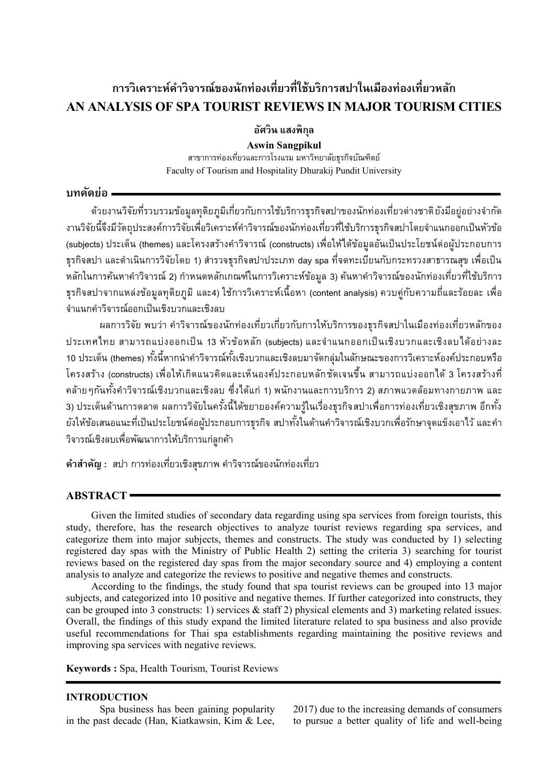# **การวิเคราะห์ค าวิจารณ์ของนักท่องเที่ยวที่ใช้บริการสปาในเมืองท่องเที่ยวหลัก AN ANALYSIS OF SPA TOURIST REVIEWS IN MAJOR TOURISM CITIES**

**อัศวิน แสงพิกุล**

**Aswin Sangpikul** สำขำกำรท่องเที่ยวและกำรโรงแรม มหำวิทยำลัยธุรกิจบัณฑิตย์ Faculty of Tourism and Hospitality Dhurakij Pundit University

# **บทคัดย่อ**

ด้วยงานวิจัยที่รวบรวมข้อมูลทุติยภูมิเกี่ยวกับการใช้บริการธุรกิจสปาของนักท่องเที่ยวต่างชาติยังมีอยู่อย่างจำกัด งานวิจัยนี้จึงมีวัตถุประสงค์การวิจัยเพื่อวิเคราะห์คำวิจารณ์ของนักท่องเที่ยวที่ใช้บริการธุรกิจสปาโดยจำแนกออกเป็นหัวข้อ (subjects) ประเด็น (themes) และโครงสร้างคำวิจารณ์ (constructs) เพื่อให้ได้ข้อมูลอันเป็นประโยชน์ต่อผู้ประกอบการ ธุรกิจสปา และดำเนินการวิจัยโดย 1) สำรวจธุรกิจสปาประเภท day spa ที่จดทะเบียนกับกระทรวงสาธารณสุข เพื่อเป็น หลักในการค้นหาคำวิจารณ์ 2) กำหนดหลักเกณฑ์ในการวิเคราะห์ข้อมูล 3) ค้นหาคำวิจารณ์ของนักท่องเที่ยวที่ใช้บริการ ธุรกิจสปำจำกแหล่งข้อมูลทุติยภูมิและ4) ใช้กำรวิเครำะห์เนื้อหำ (content analysis) ควบคู่กับควำมถี่และร้อยละ เพื่อ จ ำแนกค ำวิจำรณ์ออกเป็นเชิงบวกและเชิงลบ

้ ผลการวิจัย พบว่า คำวิจารณ์ของนักท่องเที่ยวเกี่ยวกับการให้บริการของธุรกิจสปาในเมืองท่องเที่ยวหลักของ ประเทศไทย สามารถแบ่งออกเป็น 13 หัวข้อหลัก (subjects) และจำแนกออกเป็นเชิงบวกและเชิงลบได้อย่างละ 10 ประเด็น (themes) ทั้งนี้หากนำคำวิจารณ์ทั้งเชิงบวกและเชิงลบมาจัดกลุ่มในลักษณะของการวิเคราะห์องค์ประกอบหรือ โครงสร้ำง (constructs) เพื่อให้เกิดแนวคิดและเห็นองค์ประกอบหลักชัดเจนขึ้น สำมำรถแบ่งออกได้3 โครงสร้ำงที่ คล้าย ๆกันทั้งคำวิจารณ์เชิงบวกและเชิงลบ ซึ่งได้แก่ 1) พนักงานและการบริการ 2) สภาพแวดล้อมทางกายภาพ และ 3) ประเด็นด้ำนกำรตลำด ผลกำรวิจัยในครั้งนี้ได้ขยำยองค์ควำมรู้ในเรื่องธุรกิจสปำเพื่อกำรท่องเที่ยวเชิงสุขภำพ อีกทั้ง ยังให้ข้อเสนอแนะที่เป็นประโยชน์ต่อผู้ประกอบการธุรกิจ สปาทั้งในด้านคำวิจารณ์เชิงบวกเพื่อรักษาจุดแข็งเอาไว้ และคำ วิจำรณ์เชิงลบเพื่อพัฒนำกำรให้บริกำรแก่ลูกค้ำ

**ค าส าคัญ :** สปำ กำรท่องเที่ยวเชิงสุขภำพ ค ำวิจำรณ์ของนักท่องเที่ยว

# **ABSTRACT**

Given the limited studies of secondary data regarding using spa services from foreign tourists, this study, therefore, has the research objectives to analyze tourist reviews regarding spa services, and categorize them into major subjects, themes and constructs. The study was conducted by 1) selecting registered day spas with the Ministry of Public Health 2) setting the criteria 3) searching for tourist reviews based on the registered day spas from the major secondary source and 4) employing a content analysis to analyze and categorize the reviews to positive and negative themes and constructs.

According to the findings, the study found that spa tourist reviews can be grouped into 13 major subjects, and categorized into 10 positive and negative themes. If further categorized into constructs, they can be grouped into 3 constructs: 1) services & staff 2) physical elements and 3) marketing related issues. Overall, the findings of this study expand the limited literature related to spa business and also provide useful recommendations for Thai spa establishments regarding maintaining the positive reviews and improving spa services with negative reviews.

**Keywords :** Spa, Health Tourism, Tourist Reviews

# **INTRODUCTION**

Spa business has been gaining popularity in the past decade (Han, Kiatkawsin, Kim & Lee, 2017) due to the increasing demands of consumers to pursue a better quality of life and well-being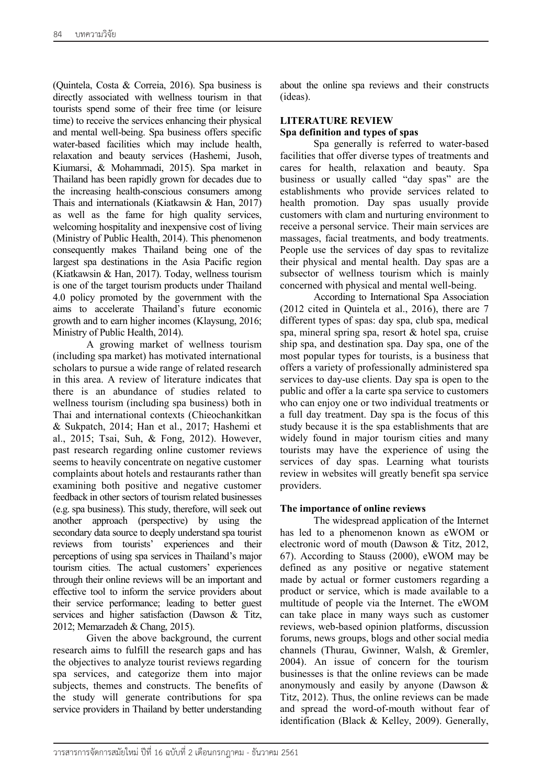(Quintela, Costa & Correia, 2016). Spa business is directly associated with wellness tourism in that tourists spend some of their free time (or leisure time) to receive the services enhancing their physical and mental well-being. Spa business offers specific water-based facilities which may include health, relaxation and beauty services (Hashemi, Jusoh, Kiumarsi, & Mohammadi, 2015). Spa market in Thailand has been rapidly grown for decades due to the increasing health-conscious consumers among Thais and internationals (Kiatkawsin & Han, 2017) as well as the fame for high quality services, welcoming hospitality and inexpensive cost of living (Ministry of Public Health, 2014). This phenomenon consequently makes Thailand being one of the largest spa destinations in the Asia Pacific region (Kiatkawsin & Han, 2017). Today, wellness tourism is one of the target tourism products under Thailand 4.0 policy promoted by the government with the aims to accelerate Thailand's future economic growth and to earn higher incomes (Klaysung, 2016; Ministry of Public Health, 2014).

A growing market of wellness tourism (including spa market) has motivated international scholars to pursue a wide range of related research in this area. A review of literature indicates that there is an abundance of studies related to wellness tourism (including spa business) both in Thai and international contexts (Chieochankitkan & Sukpatch, 2014; Han et al., 2017; Hashemi et al., 2015; Tsai, Suh, & Fong, 2012). However, past research regarding online customer reviews seems to heavily concentrate on negative customer complaints about hotels and restaurants rather than examining both positive and negative customer feedback in other sectors of tourism related businesses (e.g. spa business). This study, therefore, will seek out another approach (perspective) by using the secondary data source to deeply understand spa tourist reviews from tourists' experiences and their perceptions of using spa services in Thailand's major tourism cities. The actual customers' experiences through their online reviews will be an important and effective tool to inform the service providers about their service performance; leading to better guest services and higher satisfaction (Dawson & Titz, 2012; Memarzadeh & Chang, 2015).

Given the above background, the current research aims to fulfill the research gaps and has the objectives to analyze tourist reviews regarding spa services, and categorize them into major subjects, themes and constructs. The benefits of the study will generate contributions for spa service providers in Thailand by better understanding

about the online spa reviews and their constructs (ideas).

# **LITERATURE REVIEW Spa definition and types of spas**

Spa generally is referred to water-based facilities that offer diverse types of treatments and cares for health, relaxation and beauty. Spa business or usually called "day spas" are the establishments who provide services related to health promotion. Day spas usually provide customers with clam and nurturing environment to receive a personal service. Their main services are massages, facial treatments, and body treatments. People use the services of day spas to revitalize their physical and mental health. Day spas are a subsector of wellness tourism which is mainly concerned with physical and mental well-being.

According to International Spa Association (2012 cited in Quintela et al., 2016), there are 7 different types of spas: day spa, club spa, medical spa, mineral spring spa, resort & hotel spa, cruise ship spa, and destination spa. Day spa, one of the most popular types for tourists, is a business that offers a variety of professionally administered spa services to day-use clients. Day spa is open to the public and offer a la carte spa service to customers who can enjoy one or two individual treatments or a full day treatment. Day spa is the focus of this study because it is the spa establishments that are widely found in major tourism cities and many tourists may have the experience of using the services of day spas. Learning what tourists review in websites will greatly benefit spa service providers.

# **The importance of online reviews**

The widespread application of the Internet has led to a phenomenon known as eWOM or electronic word of mouth (Dawson & Titz, 2012, 67). According to Stauss (2000), eWOM may be defined as any positive or negative statement made by actual or former customers regarding a product or service, which is made available to a multitude of people via the Internet. The eWOM can take place in many ways such as customer reviews, web-based opinion platforms, discussion forums, news groups, blogs and other social media channels (Thurau, Gwinner, Walsh, & Gremler, 2004). An issue of concern for the tourism businesses is that the online reviews can be made anonymously and easily by anyone (Dawson & Titz, 2012). Thus, the online reviews can be made and spread the word-of-mouth without fear of identification (Black & Kelley, 2009). Generally,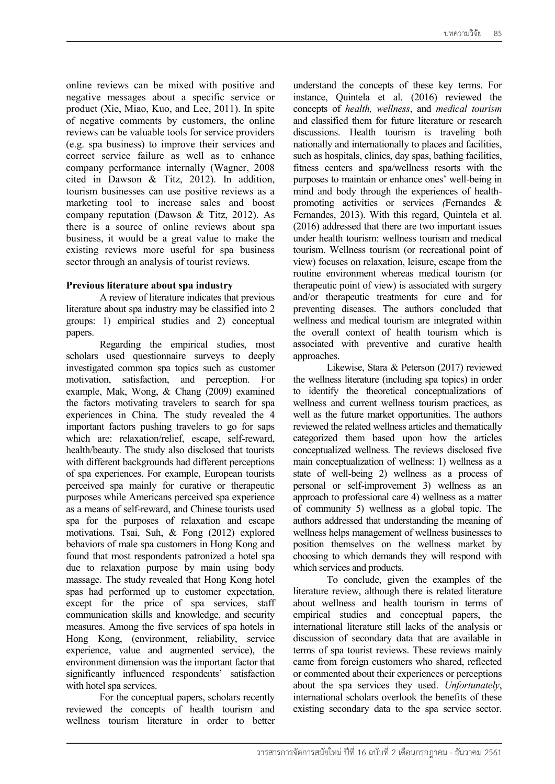online reviews can be mixed with positive and negative messages about a specific service or product (Xie, Miao, Kuo, and Lee, 2011). In spite of negative comments by customers, the online reviews can be valuable tools for service providers (e.g. spa business) to improve their services and correct service failure as well as to enhance company performance internally (Wagner, 2008 cited in Dawson & Titz, 2012). In addition, tourism businesses can use positive reviews as a marketing tool to increase sales and boost company reputation (Dawson & Titz, 2012). As there is a source of online reviews about spa business, it would be a great value to make the existing reviews more useful for spa business sector through an analysis of tourist reviews.

### **Previous literature about spa industry**

A review of literature indicates that previous literature about spa industry may be classified into 2 groups: 1) empirical studies and 2) conceptual papers.

Regarding the empirical studies, most scholars used questionnaire surveys to deeply investigated common spa topics such as customer motivation, satisfaction, and perception. For example, Mak, Wong, & Chang (2009) examined the factors motivating travelers to search for spa experiences in China. The study revealed the 4 important factors pushing travelers to go for saps which are: relaxation/relief, escape, self-reward, health/beauty. The study also disclosed that tourists with different backgrounds had different perceptions of spa experiences. For example, European tourists perceived spa mainly for curative or therapeutic purposes while Americans perceived spa experience as a means of self-reward, and Chinese tourists used spa for the purposes of relaxation and escape motivations. Tsai, Suh, & Fong (2012) explored behaviors of male spa customers in Hong Kong and found that most respondents patronized a hotel spa due to relaxation purpose by main using body massage. The study revealed that Hong Kong hotel spas had performed up to customer expectation, except for the price of spa services, staff communication skills and knowledge, and security measures. Among the five services of spa hotels in Hong Kong, (environment, reliability, service experience, value and augmented service), the environment dimension was the important factor that significantly influenced respondents' satisfaction with hotel spa services.

For the conceptual papers, scholars recently reviewed the concepts of health tourism and wellness tourism literature in order to better

understand the concepts of these key terms. For instance, Quintela et al. (2016) reviewed the concepts of *health, wellness*, and *medical tourism* and classified them for future literature or research discussions. Health tourism is traveling both nationally and internationally to places and facilities, such as hospitals, clinics, day spas, bathing facilities, fitness centers and spa/wellness resorts with the purposes to maintain or enhance ones' well-being in mind and body through the experiences of healthpromoting activities or services *(*Fernandes & Fernandes, 2013). With this regard, Quintela et al. (2016) addressed that there are two important issues under health tourism: wellness tourism and medical tourism. Wellness tourism (or recreational point of view) focuses on relaxation, leisure, escape from the routine environment whereas medical tourism (or therapeutic point of view) is associated with surgery and/or therapeutic treatments for cure and for preventing diseases. The authors concluded that wellness and medical tourism are integrated within the overall context of health tourism which is associated with preventive and curative health approaches.

Likewise, Stara & Peterson (2017) reviewed the wellness literature (including spa topics) in order to identify the theoretical conceptualizations of wellness and current wellness tourism practices, as well as the future market opportunities. The authors reviewed the related wellness articles and thematically categorized them based upon how the articles conceptualized wellness. The reviews disclosed five main conceptualization of wellness: 1) wellness as a state of well-being 2) wellness as a process of personal or self-improvement 3) wellness as an approach to professional care 4) wellness as a matter of community 5) wellness as a global topic. The authors addressed that understanding the meaning of wellness helps management of wellness businesses to position themselves on the wellness market by choosing to which demands they will respond with which services and products.

To conclude, given the examples of the literature review, although there is related literature about wellness and health tourism in terms of empirical studies and conceptual papers, the international literature still lacks of the analysis or discussion of secondary data that are available in terms of spa tourist reviews. These reviews mainly came from foreign customers who shared, reflected or commented about their experiences or perceptions about the spa services they used. *Unfortunately*, international scholars overlook the benefits of these existing secondary data to the spa service sector.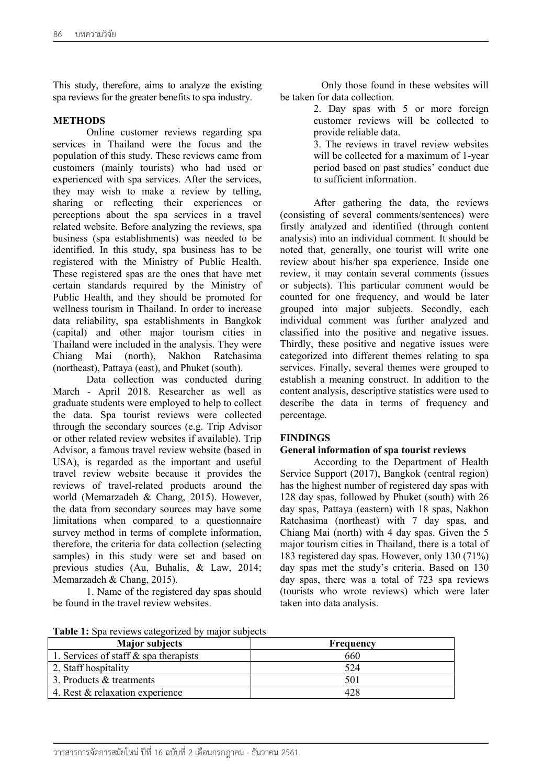This study, therefore, aims to analyze the existing spa reviews for the greater benefits to spa industry.

#### **METHODS**

Online customer reviews regarding spa services in Thailand were the focus and the population of this study. These reviews came from customers (mainly tourists) who had used or experienced with spa services. After the services, they may wish to make a review by telling, sharing or reflecting their experiences or perceptions about the spa services in a travel related website. Before analyzing the reviews, spa business (spa establishments) was needed to be identified. In this study, spa business has to be registered with the Ministry of Public Health. These registered spas are the ones that have met certain standards required by the Ministry of Public Health, and they should be promoted for wellness tourism in Thailand. In order to increase data reliability, spa establishments in Bangkok (capital) and other major tourism cities in Thailand were included in the analysis. They were Chiang Mai (north), Nakhon Ratchasima (northeast), Pattaya (east), and Phuket (south).

Data collection was conducted during March - April 2018. Researcher as well as graduate students were employed to help to collect the data. Spa tourist reviews were collected through the secondary sources (e.g. Trip Advisor or other related review websites if available). Trip Advisor, a famous travel review website (based in USA), is regarded as the important and useful travel review website because it provides the reviews of travel-related products around the world (Memarzadeh & Chang, 2015). However, the data from secondary sources may have some limitations when compared to a questionnaire survey method in terms of complete information, therefore, the criteria for data collection (selecting samples) in this study were set and based on previous studies (Au, Buhalis, & Law, 2014; Memarzadeh & Chang, 2015).

1. Name of the registered day spas should be found in the travel review websites.

Only those found in these websites will be taken for data collection.

> 2. Day spas with 5 or more foreign customer reviews will be collected to provide reliable data.

3. The reviews in travel review websites will be collected for a maximum of 1-year period based on past studies' conduct due to sufficient information.

After gathering the data, the reviews (consisting of several comments/sentences) were firstly analyzed and identified (through content analysis) into an individual comment. It should be noted that, generally, one tourist will write one review about his/her spa experience. Inside one review, it may contain several comments (issues or subjects). This particular comment would be counted for one frequency, and would be later grouped into major subjects. Secondly, each individual comment was further analyzed and classified into the positive and negative issues. Thirdly, these positive and negative issues were categorized into different themes relating to spa services. Finally, several themes were grouped to establish a meaning construct. In addition to the content analysis, descriptive statistics were used to describe the data in terms of frequency and percentage.

#### **FINDINGS**

#### **General information of spa tourist reviews**

According to the Department of Health Service Support (2017), Bangkok (central region) has the highest number of registered day spas with 128 day spas, followed by Phuket (south) with 26 day spas, Pattaya (eastern) with 18 spas, Nakhon Ratchasima (northeast) with 7 day spas, and Chiang Mai (north) with 4 day spas. Given the 5 major tourism cities in Thailand, there is a total of 183 registered day spas. However, only 130 (71%) day spas met the study's criteria. Based on 130 day spas, there was a total of 723 spa reviews (tourists who wrote reviews) which were later taken into data analysis.

| Table 1: Spa reviews categorized by major subjects |  |  |
|----------------------------------------------------|--|--|
|----------------------------------------------------|--|--|

| <b>Major subjects</b>                    | Frequency |
|------------------------------------------|-----------|
| 1. Services of staff $\&$ spa therapists | 660       |
| 2. Staff hospitality                     | 524       |
| 3. Products & treatments                 |           |
| 4. Rest & relaxation experience          |           |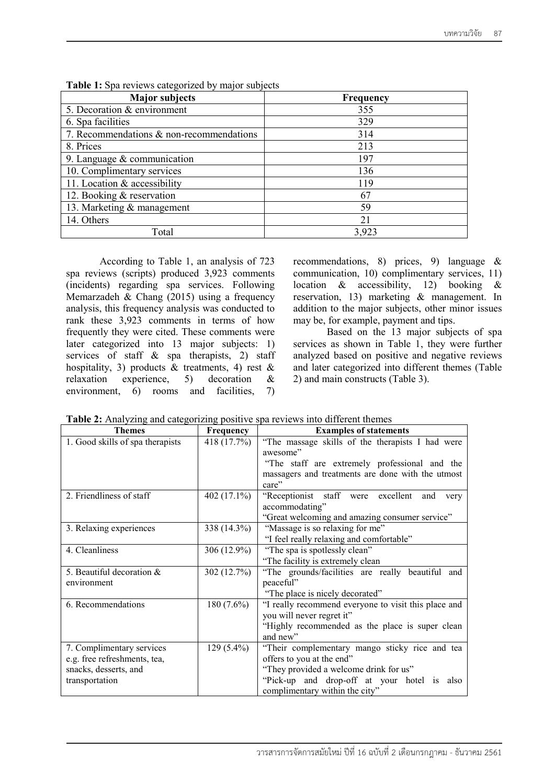| <b>Major subjects</b>                    | Frequency |
|------------------------------------------|-----------|
| 5. Decoration & environment              | 355       |
| 6. Spa facilities                        | 329       |
| 7. Recommendations & non-recommendations | 314       |
| 8. Prices                                | 213       |
| 9. Language $&$ communication            | 197       |
| 10. Complimentary services               | 136       |
| 11. Location & accessibility             | 119       |
| 12. Booking & reservation                | 67        |
| 13. Marketing & management               | 59        |
| 14. Others                               | 21        |
| Total                                    | 3,923     |

**Table 1:** Spa reviews categorized by major subjects

According to Table 1, an analysis of 723 spa reviews (scripts) produced 3,923 comments (incidents) regarding spa services. Following Memarzadeh & Chang  $(2015)$  using a frequency analysis, this frequency analysis was conducted to rank these 3,923 comments in terms of how frequently they were cited. These comments were later categorized into 13 major subjects: 1) services of staff  $\&$  spa therapists, 2) staff hospitality, 3) products & treatments, 4) rest & relaxation experience, 5) decoration & environment, 6) rooms and facilities, 7)

recommendations, 8) prices, 9) language & communication, 10) complimentary services, 11) location & accessibility, 12) booking & reservation, 13) marketing & management. In addition to the major subjects, other minor issues may be, for example, payment and tips.

Based on the 13 major subjects of spa services as shown in Table 1, they were further analyzed based on positive and negative reviews and later categorized into different themes (Table 2) and main constructs (Table 3).

|  |  |  | Table 2: Analyzing and categorizing positive spa reviews into different themes |
|--|--|--|--------------------------------------------------------------------------------|
|  |  |  |                                                                                |

| <b>Themes</b>                    | Frequency    | <b>Examples of statements</b>                        |
|----------------------------------|--------------|------------------------------------------------------|
| 1. Good skills of spa therapists | 418 (17.7%)  | "The massage skills of the therapists I had were     |
|                                  |              | awesome"                                             |
|                                  |              | "The staff are extremely professional and the        |
|                                  |              | massagers and treatments are done with the utmost    |
|                                  |              | care"                                                |
| 2. Friendliness of staff         | 402 (17.1%)  | "Receptionist staff were excellent<br>and<br>very    |
|                                  |              | accommodating"                                       |
|                                  |              | "Great welcoming and amazing consumer service"       |
| 3. Relaxing experiences          | 338 (14.3%)  | "Massage is so relaxing for me"                      |
|                                  |              | "I feel really relaxing and comfortable"             |
| 4. Cleanliness                   | 306 (12.9%)  | "The spa is spotlessly clean"                        |
|                                  |              | "The facility is extremely clean                     |
| 5. Beautiful decoration &        | 302 (12.7%)  | "The grounds/facilities are really beautiful and     |
| environment                      |              | peaceful"                                            |
|                                  |              | "The place is nicely decorated"                      |
| 6. Recommendations               | $180(7.6\%)$ | "I really recommend everyone to visit this place and |
|                                  |              | you will never regret it"                            |
|                                  |              | "Highly recommended as the place is super clean      |
|                                  |              | and new"                                             |
| 7. Complimentary services        | $129(5.4\%)$ | "Their complementary mango sticky rice and tea       |
| e.g. free refreshments, tea,     |              | offers to you at the end"                            |
| snacks, desserts, and            |              | "They provided a welcome drink for us"               |
| transportation                   |              | "Pick-up and drop-off at your hotel is also          |
|                                  |              | complimentary within the city"                       |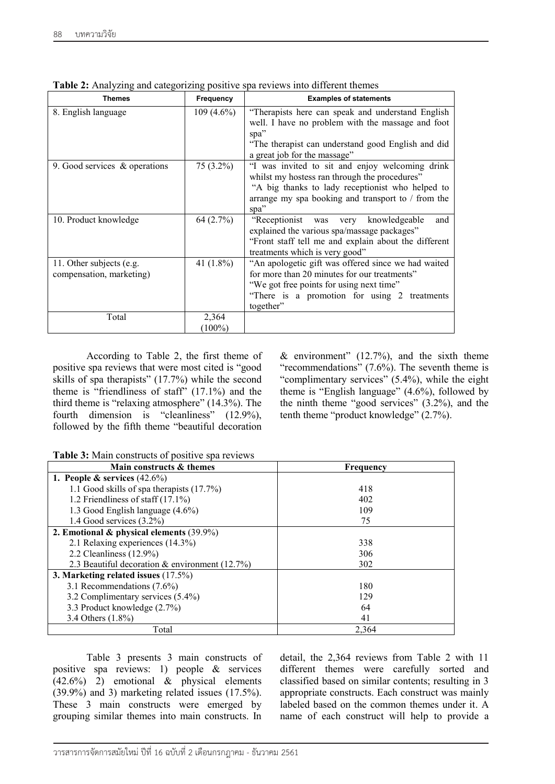| Themes                        | <b>Frequency</b> | <b>Examples of statements</b>                                                                          |
|-------------------------------|------------------|--------------------------------------------------------------------------------------------------------|
| 8. English language           | $109(4.6\%)$     | "Therapists here can speak and understand English<br>well. I have no problem with the massage and foot |
|                               |                  | spa"                                                                                                   |
|                               |                  | "The therapist can understand good English and did                                                     |
|                               |                  | a great job for the massage"                                                                           |
| 9. Good services & operations | $75(3.2\%)$      | "I was invited to sit and enjoy welcoming drink                                                        |
|                               |                  | whilst my hostess ran through the procedures"                                                          |
|                               |                  | "A big thanks to lady receptionist who helped to                                                       |
|                               |                  | arrange my spa booking and transport to $/$ from the                                                   |
|                               |                  | spa"                                                                                                   |
| 10. Product knowledge         | 64(2.7%)         | "Receptionist was<br>knowledgeable<br>very<br>and<br>explained the various spa/massage packages"       |
|                               |                  | "Front staff tell me and explain about the different                                                   |
|                               |                  | treatments which is very good"                                                                         |
| 11. Other subjects (e.g.      | 41 $(1.8\%)$     | "An apologetic gift was offered since we had waited                                                    |
| compensation, marketing)      |                  | for more than 20 minutes for our treatments"                                                           |
|                               |                  | "We got free points for using next time"                                                               |
|                               |                  | "There is a promotion for using 2 treatments                                                           |
|                               |                  | together"                                                                                              |
| Total                         | 2,364            |                                                                                                        |
|                               | $(100\%)$        |                                                                                                        |

**Table 2:** Analyzing and categorizing positive spa reviews into different themes

According to Table 2, the first theme of positive spa reviews that were most cited is "good skills of spa therapists" (17.7%) while the second theme is "friendliness of staff" (17.1%) and the third theme is "relaxing atmosphere" (14.3%). The fourth dimension is "cleanliness" (12.9%), followed by the fifth theme "beautiful decoration

& environment"  $(12.7%)$ , and the sixth theme "recommendations" (7.6%). The seventh theme is "complimentary services" (5.4%), while the eight theme is "English language" (4.6%), followed by the ninth theme "good services" (3.2%), and the tenth theme "product knowledge" (2.7%).

|  |  | Table 3: Main constructs of positive spa reviews |
|--|--|--------------------------------------------------|

| Main constructs & themes                       | Frequency |
|------------------------------------------------|-----------|
| 1. People & services $(42.6\%)$                |           |
| 1.1 Good skills of spa therapists (17.7%)      | 418       |
| 1.2 Friendliness of staff $(17.1\%)$           | 402       |
| 1.3 Good English language (4.6%)               | 109       |
| 1.4 Good services $(3.2\%)$                    | 75        |
| 2. Emotional & physical elements $(39.9\%)$    |           |
| 2.1 Relaxing experiences (14.3%)               | 338       |
| 2.2 Cleanliness $(12.9\%)$                     | 306       |
| 2.3 Beautiful decoration & environment (12.7%) | 302       |
| 3. Marketing related issues $(17.5\%)$         |           |
| 3.1 Recommendations (7.6%)                     | 180       |
| 3.2 Complimentary services (5.4%)              | 129       |
| 3.3 Product knowledge (2.7%)                   | 64        |
| 3.4 Others (1.8%)                              | 41        |
| Total                                          | 2,364     |

Table 3 presents 3 main constructs of positive spa reviews: 1) people & services  $(42.6\%)$  2) emotional & physical elements (39.9%) and 3) marketing related issues (17.5%). These 3 main constructs were emerged by grouping similar themes into main constructs. In

detail, the 2,364 reviews from Table 2 with 11 different themes were carefully sorted and classified based on similar contents; resulting in 3 appropriate constructs. Each construct was mainly labeled based on the common themes under it. A name of each construct will help to provide a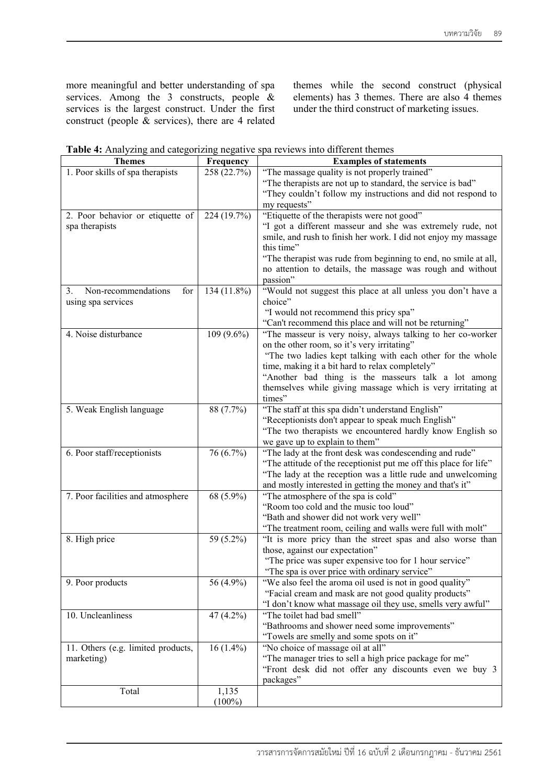more meaningful and better understanding of spa services. Among the 3 constructs, people & services is the largest construct. Under the first construct (people & services), there are 4 related

themes while the second construct (physical elements) has 3 themes. There are also 4 themes under the third construct of marketing issues.

**Table 4:** Analyzing and categorizing negative spa reviews into different themes

| <b>Themes</b>                      | Frequency                 | <b>Examples of statements</b>                                     |
|------------------------------------|---------------------------|-------------------------------------------------------------------|
| 1. Poor skills of spa therapists   | 258 (22.7%)               | "The massage quality is not properly trained"                     |
|                                    |                           | "The therapists are not up to standard, the service is bad"       |
|                                    |                           | "They couldn't follow my instructions and did not respond to      |
|                                    |                           | my requests"                                                      |
| 2. Poor behavior or etiquette of   | 224 (19.7%)               | "Etiquette of the therapists were not good"                       |
| spa therapists                     |                           | "I got a different masseur and she was extremely rude, not        |
|                                    |                           | smile, and rush to finish her work. I did not enjoy my massage    |
|                                    |                           | this time"                                                        |
|                                    |                           | "The therapist was rude from beginning to end, no smile at all,   |
|                                    |                           | no attention to details, the massage was rough and without        |
|                                    |                           | passion"                                                          |
| Non-recommendations<br>for<br>3.   | 134 (11.8%)               | "Would not suggest this place at all unless you don't have a      |
| using spa services                 |                           | choice"                                                           |
|                                    |                           | "I would not recommend this pricy spa"                            |
|                                    |                           | "Can't recommend this place and will not be returning"            |
| 4. Noise disturbance               | 109 (9.6%)                | "The masseur is very noisy, always talking to her co-worker       |
|                                    |                           | on the other room, so it's very irritating"                       |
|                                    |                           | "The two ladies kept talking with each other for the whole        |
|                                    |                           | time, making it a bit hard to relax completely"                   |
|                                    |                           | "Another bad thing is the masseurs talk a lot among               |
|                                    |                           | themselves while giving massage which is very irritating at       |
|                                    |                           | times"                                                            |
| 5. Weak English language           | 88 (7.7%)                 | "The staff at this spa didn't understand English"                 |
|                                    |                           | "Receptionists don't appear to speak much English"                |
|                                    |                           | "The two therapists we encountered hardly know English so         |
|                                    |                           | we gave up to explain to them"                                    |
| 6. Poor staff/receptionists        | 76 $(6.7\sqrt[6]{\circ})$ | "The lady at the front desk was condescending and rude"           |
|                                    |                           | "The attitude of the receptionist put me off this place for life" |
|                                    |                           | "The lady at the reception was a little rude and unwelcoming      |
|                                    |                           | and mostly interested in getting the money and that's it"         |
| 7. Poor facilities and atmosphere  | 68 (5.9%)                 | "The atmosphere of the spa is cold"                               |
|                                    |                           | "Room too cold and the music too loud"                            |
|                                    |                           | "Bath and shower did not work very well"                          |
|                                    |                           | "The treatment room, ceiling and walls were full with molt"       |
| 8. High price                      | 59 (5.2%)                 | "It is more pricy than the street spas and also worse than        |
|                                    |                           | those, against our expectation"                                   |
|                                    |                           | "The price was super expensive too for 1 hour service"            |
|                                    |                           | "The spa is over price with ordinary service"                     |
| 9. Poor products                   | 56 (4.9%)                 | "We also feel the aroma oil used is not in good quality"          |
|                                    |                           | "Facial cream and mask are not good quality products"             |
|                                    |                           | "I don't know what massage oil they use, smells very awful"       |
| 10. Uncleanliness                  | 47 (4.2%)                 | "The toilet had bad smell"                                        |
|                                    |                           | "Bathrooms and shower need some improvements"                     |
|                                    |                           | "Towels are smelly and some spots on it"                          |
| 11. Others (e.g. limited products, | $16(1.4\%)$               | "No choice of massage oil at all"                                 |
| marketing)                         |                           | "The manager tries to sell a high price package for me"           |
|                                    |                           | "Front desk did not offer any discounts even we buy 3             |
|                                    |                           | packages"                                                         |
| Total                              | 1,135                     |                                                                   |
|                                    | $(100\%)$                 |                                                                   |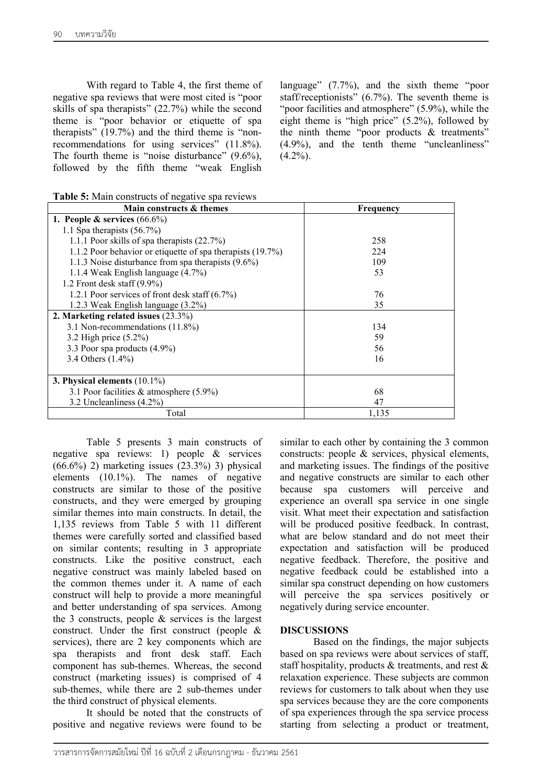With regard to Table 4, the first theme of negative spa reviews that were most cited is "poor skills of spa therapists"  $(22.7%)$  while the second theme is "poor behavior or etiquette of spa therapists" (19.7%) and the third theme is "nonrecommendations for using services" (11.8%). The fourth theme is "noise disturbance" (9.6%), followed by the fifth theme "weak English

language" (7.7%), and the sixth theme "poor staff/receptionists"  $(6.7\%)$ . The seventh theme is "poor facilities and atmosphere" (5.9%), while the eight theme is "high price" (5.2%), followed by the ninth theme "poor products & treatments" (4.9%), and the tenth theme "uncleanliness"  $(4.2\%)$ .

| Table 5: Main constructs of negative spa reviews |  |  |
|--------------------------------------------------|--|--|
|                                                  |  |  |

| Main constructs & themes                                   | Frequency |
|------------------------------------------------------------|-----------|
| 1. People & services $(66.6\%)$                            |           |
| 1.1 Spa therapists $(56.7%)$                               |           |
| 1.1.1 Poor skills of spa therapists (22.7%)                | 258       |
| 1.1.2 Poor behavior or etiquette of spa therapists (19.7%) | 224       |
| 1.1.3 Noise disturbance from spa therapists (9.6%)         | 109       |
| 1.1.4 Weak English language (4.7%)                         | 53        |
| 1.2 Front desk staff $(9.9\%)$                             |           |
| 1.2.1 Poor services of front desk staff (6.7%)             | 76        |
| 1.2.3 Weak English language (3.2%)                         | 35        |
| 2. Marketing related issues (23.3%)                        |           |
| 3.1 Non-recommendations (11.8%)                            | 134       |
| 3.2 High price (5.2%)                                      | 59        |
| 3.3 Poor spa products (4.9%)                               | 56        |
| 3.4 Others (1.4%)                                          | 16        |
|                                                            |           |
| 3. Physical elements $(10.1\%)$                            |           |
| 3.1 Poor facilities $&$ atmosphere (5.9%)                  | 68        |
| 3.2 Uncleanliness (4.2%)                                   | 47        |
| Total                                                      | 1,135     |

Table 5 presents 3 main constructs of negative spa reviews: 1) people & services  $(66.6\%)$  2) marketing issues  $(23.3\%)$  3) physical elements (10.1%). The names of negative constructs are similar to those of the positive constructs, and they were emerged by grouping similar themes into main constructs. In detail, the 1,135 reviews from Table 5 with 11 different themes were carefully sorted and classified based on similar contents; resulting in 3 appropriate constructs. Like the positive construct, each negative construct was mainly labeled based on the common themes under it. A name of each construct will help to provide a more meaningful and better understanding of spa services. Among the 3 constructs, people & services is the largest construct. Under the first construct (people & services), there are 2 key components which are spa therapists and front desk staff. Each component has sub-themes. Whereas, the second construct (marketing issues) is comprised of 4 sub-themes, while there are 2 sub-themes under the third construct of physical elements.

It should be noted that the constructs of positive and negative reviews were found to be

similar to each other by containing the 3 common constructs: people & services, physical elements, and marketing issues. The findings of the positive and negative constructs are similar to each other because spa customers will perceive and experience an overall spa service in one single visit. What meet their expectation and satisfaction will be produced positive feedback. In contrast, what are below standard and do not meet their expectation and satisfaction will be produced negative feedback. Therefore, the positive and negative feedback could be established into a similar spa construct depending on how customers will perceive the spa services positively or negatively during service encounter.

#### **DISCUSSIONS**

Based on the findings, the major subjects based on spa reviews were about services of staff, staff hospitality, products & treatments, and rest & relaxation experience. These subjects are common reviews for customers to talk about when they use spa services because they are the core components of spa experiences through the spa service process starting from selecting a product or treatment,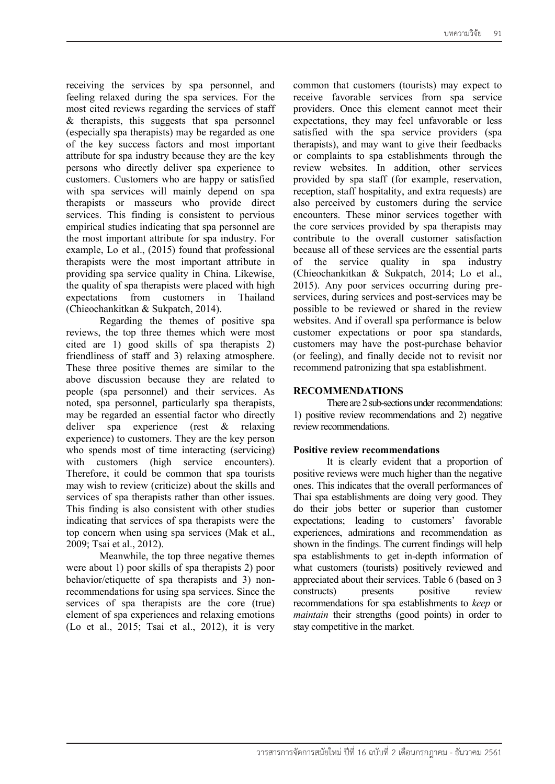receiving the services by spa personnel, and feeling relaxed during the spa services. For the most cited reviews regarding the services of staff & therapists, this suggests that spa personnel (especially spa therapists) may be regarded as one of the key success factors and most important attribute for spa industry because they are the key persons who directly deliver spa experience to customers. Customers who are happy or satisfied with spa services will mainly depend on spa therapists or masseurs who provide direct services. This finding is consistent to pervious empirical studies indicating that spa personnel are the most important attribute for spa industry. For example, Lo et al., (2015) found that professional therapists were the most important attribute in providing spa service quality in China. Likewise, the quality of spa therapists were placed with high expectations from customers in Thailand (Chieochankitkan & Sukpatch, 2014).

Regarding the themes of positive spa reviews, the top three themes which were most cited are 1) good skills of spa therapists 2) friendliness of staff and 3) relaxing atmosphere. These three positive themes are similar to the above discussion because they are related to people (spa personnel) and their services. As noted, spa personnel, particularly spa therapists, may be regarded an essential factor who directly deliver spa experience (rest & relaxing experience) to customers. They are the key person who spends most of time interacting (servicing) with customers (high service encounters). Therefore, it could be common that spa tourists may wish to review (criticize) about the skills and services of spa therapists rather than other issues. This finding is also consistent with other studies indicating that services of spa therapists were the top concern when using spa services (Mak et al., 2009; Tsai et al., 2012).

Meanwhile, the top three negative themes were about 1) poor skills of spa therapists 2) poor behavior/etiquette of spa therapists and 3) nonrecommendations for using spa services. Since the services of spa therapists are the core (true) element of spa experiences and relaxing emotions (Lo et al., 2015; Tsai et al., 2012), it is very

common that customers (tourists) may expect to receive favorable services from spa service providers. Once this element cannot meet their expectations, they may feel unfavorable or less satisfied with the spa service providers (spa therapists), and may want to give their feedbacks or complaints to spa establishments through the review websites. In addition, other services provided by spa staff (for example, reservation, reception, staff hospitality, and extra requests) are also perceived by customers during the service encounters. These minor services together with the core services provided by spa therapists may contribute to the overall customer satisfaction because all of these services are the essential parts of the service quality in spa industry (Chieochankitkan & Sukpatch, 2014; Lo et al., 2015). Any poor services occurring during preservices, during services and post-services may be possible to be reviewed or shared in the review websites. And if overall spa performance is below customer expectations or poor spa standards, customers may have the post-purchase behavior (or feeling), and finally decide not to revisit nor recommend patronizing that spa establishment.

#### **RECOMMENDATIONS**

There are 2 sub-sections under recommendations: 1) positive review recommendations and 2) negative review recommendations.

#### **Positive review recommendations**

It is clearly evident that a proportion of positive reviews were much higher than the negative ones. This indicates that the overall performances of Thai spa establishments are doing very good. They do their jobs better or superior than customer expectations; leading to customers' favorable experiences, admirations and recommendation as shown in the findings. The current findings will help spa establishments to get in-depth information of what customers (tourists) positively reviewed and appreciated about their services. Table 6 (based on 3 constructs) presents positive review recommendations for spa establishments to *keep* or *maintain* their strengths (good points) in order to stay competitive in the market.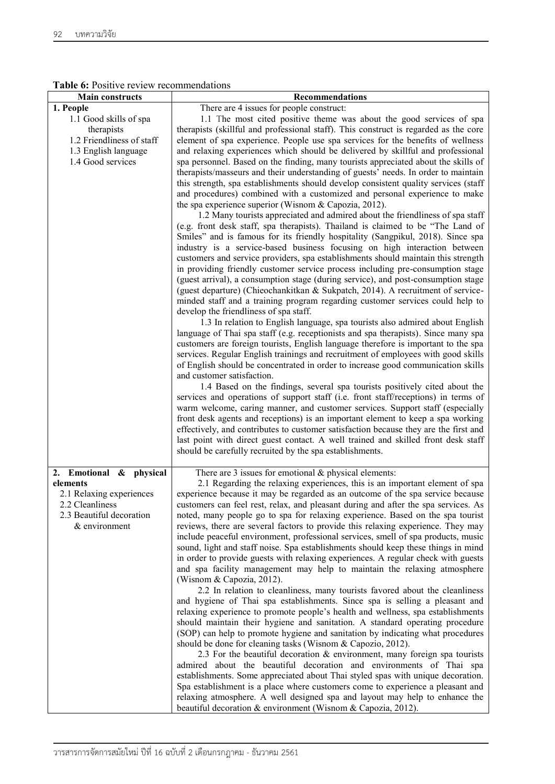|  | <b>Table 6:</b> Positive review recommendations |
|--|-------------------------------------------------|
|  |                                                 |

| <b>Main constructs</b>                      | Recommendations                                                                                                                                                      |
|---------------------------------------------|----------------------------------------------------------------------------------------------------------------------------------------------------------------------|
| 1. People                                   | There are 4 issues for people construct:                                                                                                                             |
| 1.1 Good skills of spa                      | 1.1 The most cited positive theme was about the good services of spa                                                                                                 |
| therapists                                  | therapists (skillful and professional staff). This construct is regarded as the core                                                                                 |
| 1.2 Friendliness of staff                   | element of spa experience. People use spa services for the benefits of wellness                                                                                      |
| 1.3 English language                        | and relaxing experiences which should be delivered by skillful and professional                                                                                      |
| 1.4 Good services                           | spa personnel. Based on the finding, many tourists appreciated about the skills of                                                                                   |
|                                             | therapists/masseurs and their understanding of guests' needs. In order to maintain                                                                                   |
|                                             | this strength, spa establishments should develop consistent quality services (staff                                                                                  |
|                                             | and procedures) combined with a customized and personal experience to make                                                                                           |
|                                             | the spa experience superior (Wisnom & Capozia, 2012).                                                                                                                |
|                                             | 1.2 Many tourists appreciated and admired about the friendliness of spa staff                                                                                        |
|                                             | (e.g. front desk staff, spa therapists). Thailand is claimed to be "The Land of                                                                                      |
|                                             | Smiles" and is famous for its friendly hospitality (Sangpikul, 2018). Since spa                                                                                      |
|                                             | industry is a service-based business focusing on high interaction between                                                                                            |
|                                             | customers and service providers, spa establishments should maintain this strength                                                                                    |
|                                             | in providing friendly customer service process including pre-consumption stage                                                                                       |
|                                             | (guest arrival), a consumption stage (during service), and post-consumption stage<br>(guest departure) (Chieochankitkan & Sukpatch, 2014). A recruitment of service- |
|                                             |                                                                                                                                                                      |
|                                             | minded staff and a training program regarding customer services could help to<br>develop the friendliness of spa staff.                                              |
|                                             | 1.3 In relation to English language, spa tourists also admired about English                                                                                         |
|                                             | language of Thai spa staff (e.g. receptionists and spa therapists). Since many spa                                                                                   |
|                                             | customers are foreign tourists, English language therefore is important to the spa                                                                                   |
|                                             | services. Regular English trainings and recruitment of employees with good skills                                                                                    |
|                                             | of English should be concentrated in order to increase good communication skills                                                                                     |
|                                             | and customer satisfaction.                                                                                                                                           |
|                                             | 1.4 Based on the findings, several spa tourists positively cited about the                                                                                           |
|                                             | services and operations of support staff (i.e. front staff/receptions) in terms of                                                                                   |
|                                             | warm welcome, caring manner, and customer services. Support staff (especially                                                                                        |
|                                             | front desk agents and receptions) is an important element to keep a spa working                                                                                      |
|                                             | effectively, and contributes to customer satisfaction because they are the first and                                                                                 |
|                                             | last point with direct guest contact. A well trained and skilled front desk staff                                                                                    |
|                                             | should be carefully recruited by the spa establishments.                                                                                                             |
|                                             |                                                                                                                                                                      |
| 2. Emotional & physical<br>elements         | There are $3$ issues for emotional $\&$ physical elements:                                                                                                           |
|                                             | 2.1 Regarding the relaxing experiences, this is an important element of spa<br>experience because it may be regarded as an outcome of the spa service because        |
| 2.1 Relaxing experiences<br>2.2 Cleanliness | customers can feel rest, relax, and pleasant during and after the spa services. As                                                                                   |
| 2.3 Beautiful decoration                    | noted, many people go to spa for relaxing experience. Based on the spa tourist                                                                                       |
| & environment                               | reviews, there are several factors to provide this relaxing experience. They may                                                                                     |
|                                             | include peaceful environment, professional services, smell of spa products, music                                                                                    |
|                                             | sound, light and staff noise. Spa establishments should keep these things in mind                                                                                    |
|                                             | in order to provide guests with relaxing experiences. A regular check with guests                                                                                    |
|                                             | and spa facility management may help to maintain the relaxing atmosphere                                                                                             |
|                                             | (Wisnom & Capozia, 2012).                                                                                                                                            |
|                                             | 2.2 In relation to cleanliness, many tourists favored about the cleanliness                                                                                          |
|                                             | and hygiene of Thai spa establishments. Since spa is selling a pleasant and                                                                                          |
|                                             | relaxing experience to promote people's health and wellness, spa establishments                                                                                      |
|                                             | should maintain their hygiene and sanitation. A standard operating procedure                                                                                         |
|                                             | (SOP) can help to promote hygiene and sanitation by indicating what procedures                                                                                       |
|                                             | should be done for cleaning tasks (Wisnom & Capozio, 2012).                                                                                                          |
|                                             | 2.3 For the beautiful decoration $&$ environment, many foreign spa tourists                                                                                          |
|                                             | admired about the beautiful decoration and environments of Thai spa                                                                                                  |
|                                             | establishments. Some appreciated about Thai styled spas with unique decoration.                                                                                      |
|                                             | Spa establishment is a place where customers come to experience a pleasant and                                                                                       |
|                                             | relaxing atmosphere. A well designed spa and layout may help to enhance the                                                                                          |
|                                             | beautiful decoration & environment (Wisnom & Capozia, 2012).                                                                                                         |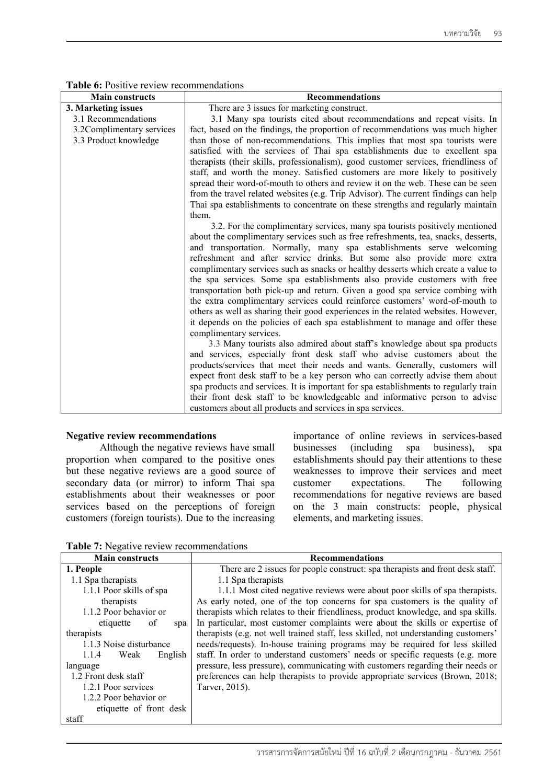| <b>Main constructs</b>    | <b>Recommendations</b>                                                                                                                                          |
|---------------------------|-----------------------------------------------------------------------------------------------------------------------------------------------------------------|
| 3. Marketing issues       | There are 3 issues for marketing construct.                                                                                                                     |
| 3.1 Recommendations       | 3.1 Many spa tourists cited about recommendations and repeat visits. In                                                                                         |
| 3.2Complimentary services | fact, based on the findings, the proportion of recommendations was much higher                                                                                  |
| 3.3 Product knowledge     | than those of non-recommendations. This implies that most spa tourists were                                                                                     |
|                           | satisfied with the services of Thai spa establishments due to excellent spa                                                                                     |
|                           | therapists (their skills, professionalism), good customer services, friendliness of                                                                             |
|                           | staff, and worth the money. Satisfied customers are more likely to positively                                                                                   |
|                           | spread their word-of-mouth to others and review it on the web. These can be seen                                                                                |
|                           | from the travel related websites (e.g. Trip Advisor). The current findings can help                                                                             |
|                           | Thai spa establishments to concentrate on these strengths and regularly maintain                                                                                |
|                           | them.                                                                                                                                                           |
|                           | 3.2. For the complimentary services, many spa tourists positively mentioned                                                                                     |
|                           | about the complimentary services such as free refreshments, tea, snacks, desserts,                                                                              |
|                           | and transportation. Normally, many spa establishments serve welcoming                                                                                           |
|                           | refreshment and after service drinks. But some also provide more extra                                                                                          |
|                           | complimentary services such as snacks or healthy desserts which create a value to<br>the spa services. Some spa establishments also provide customers with free |
|                           | transportation both pick-up and return. Given a good spa service combing with                                                                                   |
|                           | the extra complimentary services could reinforce customers' word-of-mouth to                                                                                    |
|                           | others as well as sharing their good experiences in the related websites. However,                                                                              |
|                           | it depends on the policies of each spa establishment to manage and offer these                                                                                  |
|                           | complimentary services.                                                                                                                                         |
|                           | 3.3 Many tourists also admired about staff's knowledge about spa products                                                                                       |
|                           | and services, especially front desk staff who advise customers about the                                                                                        |
|                           | products/services that meet their needs and wants. Generally, customers will                                                                                    |
|                           | expect front desk staff to be a key person who can correctly advise them about                                                                                  |
|                           | spa products and services. It is important for spa establishments to regularly train                                                                            |
|                           | their front desk staff to be knowledgeable and informative person to advise                                                                                     |
|                           | customers about all products and services in spa services.                                                                                                      |

#### **Table 6:** Positive review recommendations

#### **Negative review recommendations**

Although the negative reviews have small proportion when compared to the positive ones but these negative reviews are a good source of secondary data (or mirror) to inform Thai spa establishments about their weaknesses or poor services based on the perceptions of foreign customers (foreign tourists). Due to the increasing

importance of online reviews in services-based businesses (including spa business), spa establishments should pay their attentions to these weaknesses to improve their services and meet customer expectations. The following recommendations for negative reviews are based on the 3 main constructs: people, physical elements, and marketing issues.

**Table 7:** Negative review recommendations

| <b>Main constructs</b>   | <b>Recommendations</b>                                                              |
|--------------------------|-------------------------------------------------------------------------------------|
| 1. People                | There are 2 issues for people construct: spa therapists and front desk staff.       |
| 1.1 Spa therapists       | 1.1 Spa therapists                                                                  |
| 1.1.1 Poor skills of spa | 1.1.1 Most cited negative reviews were about poor skills of spa therapists.         |
| therapists               | As early noted, one of the top concerns for spa customers is the quality of         |
| 1.1.2 Poor behavior or   | therapists which relates to their friendliness, product knowledge, and spa skills.  |
| of<br>etiquette<br>spa   | In particular, most customer complaints were about the skills or expertise of       |
| therapists               | therapists (e.g. not well trained staff, less skilled, not understanding customers' |
| 1.1.3 Noise disturbance  | needs/requests). In-house training programs may be required for less skilled        |
| 1.1.4<br>English<br>Weak | staff. In order to understand customers' needs or specific requests (e.g. more      |
| language                 | pressure, less pressure), communicating with customers regarding their needs or     |
| 1.2 Front desk staff     | preferences can help therapists to provide appropriate services (Brown, 2018;       |
| 1.2.1 Poor services      | Tarver, 2015).                                                                      |
| 1.2.2 Poor behavior or   |                                                                                     |
| etiquette of front desk  |                                                                                     |
| staff                    |                                                                                     |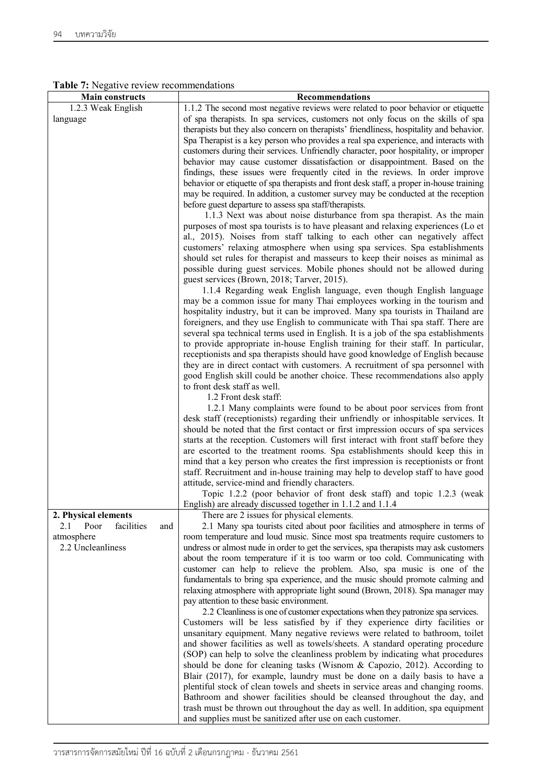|  | Table 7: Negative review recommendations |
|--|------------------------------------------|
|  |                                          |

| <b>Main constructs</b>           | Recommendations                                                                          |
|----------------------------------|------------------------------------------------------------------------------------------|
| 1.2.3 Weak English               | 1.1.2 The second most negative reviews were related to poor behavior or etiquette        |
| language                         | of spa therapists. In spa services, customers not only focus on the skills of spa        |
|                                  | therapists but they also concern on therapists' friendliness, hospitality and behavior.  |
|                                  | Spa Therapist is a key person who provides a real spa experience, and interacts with     |
|                                  | customers during their services. Unfriendly character, poor hospitality, or improper     |
|                                  |                                                                                          |
|                                  | behavior may cause customer dissatisfaction or disappointment. Based on the              |
|                                  | findings, these issues were frequently cited in the reviews. In order improve            |
|                                  | behavior or etiquette of spa therapists and front desk staff, a proper in-house training |
|                                  | may be required. In addition, a customer survey may be conducted at the reception        |
|                                  | before guest departure to assess spa staff/therapists.                                   |
|                                  | 1.1.3 Next was about noise disturbance from spa therapist. As the main                   |
|                                  | purposes of most spa tourists is to have pleasant and relaxing experiences (Lo et        |
|                                  | al., 2015). Noises from staff talking to each other can negatively affect                |
|                                  | customers' relaxing atmosphere when using spa services. Spa establishments               |
|                                  | should set rules for therapist and masseurs to keep their noises as minimal as           |
|                                  | possible during guest services. Mobile phones should not be allowed during               |
|                                  | guest services (Brown, 2018; Tarver, 2015).                                              |
|                                  | 1.1.4 Regarding weak English language, even though English language                      |
|                                  | may be a common issue for many Thai employees working in the tourism and                 |
|                                  | hospitality industry, but it can be improved. Many spa tourists in Thailand are          |
|                                  | foreigners, and they use English to communicate with Thai spa staff. There are           |
|                                  | several spa technical terms used in English. It is a job of the spa establishments       |
|                                  | to provide appropriate in-house English training for their staff. In particular,         |
|                                  |                                                                                          |
|                                  | receptionists and spa therapists should have good knowledge of English because           |
|                                  | they are in direct contact with customers. A recruitment of spa personnel with           |
|                                  | good English skill could be another choice. These recommendations also apply             |
|                                  | to front desk staff as well.                                                             |
|                                  | 1.2 Front desk staff:                                                                    |
|                                  | 1.2.1 Many complaints were found to be about poor services from front                    |
|                                  | desk staff (receptionists) regarding their unfriendly or inhospitable services. It       |
|                                  | should be noted that the first contact or first impression occurs of spa services        |
|                                  | starts at the reception. Customers will first interact with front staff before they      |
|                                  | are escorted to the treatment rooms. Spa establishments should keep this in              |
|                                  | mind that a key person who creates the first impression is receptionists or front        |
|                                  | staff. Recruitment and in-house training may help to develop staff to have good          |
|                                  | attitude, service-mind and friendly characters.                                          |
|                                  | Topic 1.2.2 (poor behavior of front desk staff) and topic 1.2.3 (weak                    |
|                                  | English) are already discussed together in 1.1.2 and 1.1.4                               |
| 2. Physical elements             | There are 2 issues for physical elements.                                                |
| Poor<br>facilities<br>2.1<br>and | 2.1 Many spa tourists cited about poor facilities and atmosphere in terms of             |
| atmosphere                       | room temperature and loud music. Since most spa treatments require customers to          |
| 2.2 Uncleanliness                | undress or almost nude in order to get the services, spa therapists may ask customers    |
|                                  | about the room temperature if it is too warm or too cold. Communicating with             |
|                                  | customer can help to relieve the problem. Also, spa music is one of the                  |
|                                  | fundamentals to bring spa experience, and the music should promote calming and           |
|                                  | relaxing atmosphere with appropriate light sound (Brown, 2018). Spa manager may          |
|                                  |                                                                                          |
|                                  | pay attention to these basic environment.                                                |
|                                  | 2.2 Cleanliness is one of customer expectations when they patronize spa services.        |
|                                  | Customers will be less satisfied by if they experience dirty facilities or               |
|                                  | unsanitary equipment. Many negative reviews were related to bathroom, toilet             |
|                                  | and shower facilities as well as towels/sheets. A standard operating procedure           |
|                                  | (SOP) can help to solve the cleanliness problem by indicating what procedures            |
|                                  | should be done for cleaning tasks (Wisnom & Capozio, 2012). According to                 |
|                                  | Blair (2017), for example, laundry must be done on a daily basis to have a               |
|                                  | plentiful stock of clean towels and sheets in service areas and changing rooms.          |
|                                  | Bathroom and shower facilities should be cleansed throughout the day, and                |
|                                  | trash must be thrown out throughout the day as well. In addition, spa equipment          |
|                                  | and supplies must be sanitized after use on each customer.                               |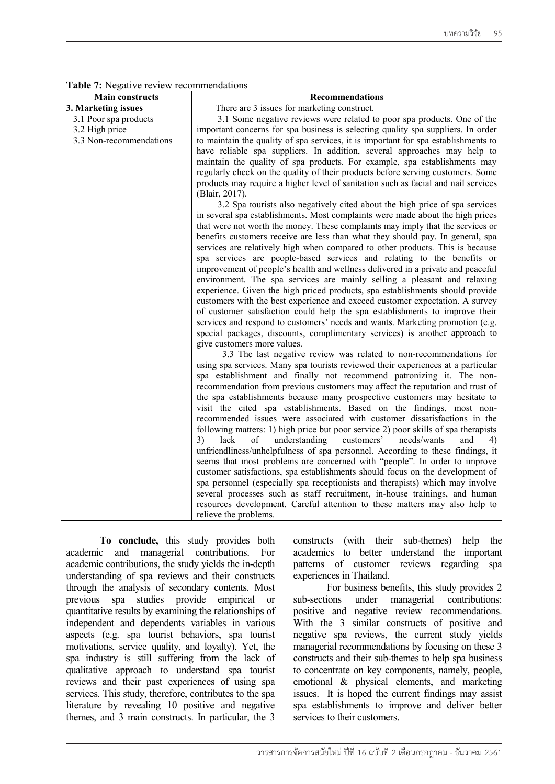| <b>Main constructs</b>  | Recommendations                                                                                                                                   |
|-------------------------|---------------------------------------------------------------------------------------------------------------------------------------------------|
| 3. Marketing issues     | There are 3 issues for marketing construct.                                                                                                       |
| 3.1 Poor spa products   | 3.1 Some negative reviews were related to poor spa products. One of the                                                                           |
| 3.2 High price          | important concerns for spa business is selecting quality spa suppliers. In order                                                                  |
| 3.3 Non-recommendations | to maintain the quality of spa services, it is important for spa establishments to                                                                |
|                         | have reliable spa suppliers. In addition, several approaches may help to                                                                          |
|                         | maintain the quality of spa products. For example, spa establishments may                                                                         |
|                         | regularly check on the quality of their products before serving customers. Some                                                                   |
|                         | products may require a higher level of sanitation such as facial and nail services                                                                |
|                         | (Blair, 2017).                                                                                                                                    |
|                         | 3.2 Spa tourists also negatively cited about the high price of spa services                                                                       |
|                         | in several spa establishments. Most complaints were made about the high prices                                                                    |
|                         | that were not worth the money. These complaints may imply that the services or                                                                    |
|                         | benefits customers receive are less than what they should pay. In general, spa                                                                    |
|                         | services are relatively high when compared to other products. This is because                                                                     |
|                         | spa services are people-based services and relating to the benefits or                                                                            |
|                         | improvement of people's health and wellness delivered in a private and peaceful                                                                   |
|                         | environment. The spa services are mainly selling a pleasant and relaxing                                                                          |
|                         | experience. Given the high priced products, spa establishments should provide                                                                     |
|                         | customers with the best experience and exceed customer expectation. A survey                                                                      |
|                         | of customer satisfaction could help the spa establishments to improve their                                                                       |
|                         | services and respond to customers' needs and wants. Marketing promotion (e.g.                                                                     |
|                         | special packages, discounts, complimentary services) is another approach to                                                                       |
|                         | give customers more values.                                                                                                                       |
|                         | 3.3 The last negative review was related to non-recommendations for                                                                               |
|                         | using spa services. Many spa tourists reviewed their experiences at a particular                                                                  |
|                         | spa establishment and finally not recommend patronizing it. The non-                                                                              |
|                         | recommendation from previous customers may affect the reputation and trust of                                                                     |
|                         | the spa establishments because many prospective customers may hesitate to<br>visit the cited spa establishments. Based on the findings, most non- |
|                         | recommended issues were associated with customer dissatisfactions in the                                                                          |
|                         | following matters: 1) high price but poor service 2) poor skills of spa therapists                                                                |
|                         | 3)<br>of<br>understanding customers' needs/wants<br>lack<br>and<br>4)                                                                             |
|                         | unfriendliness/unhelpfulness of spa personnel. According to these findings, it                                                                    |
|                         | seems that most problems are concerned with "people". In order to improve                                                                         |
|                         | customer satisfactions, spa establishments should focus on the development of                                                                     |
|                         | spa personnel (especially spa receptionists and therapists) which may involve                                                                     |
|                         | several processes such as staff recruitment, in-house trainings, and human                                                                        |
|                         | resources development. Careful attention to these matters may also help to                                                                        |
|                         | relieve the problems.                                                                                                                             |

**Table 7:** Negative review recommendations

**To conclude,** this study provides both academic and managerial contributions. For academic contributions, the study yields the in-depth understanding of spa reviews and their constructs through the analysis of secondary contents. Most previous spa studies provide empirical or quantitative results by examining the relationships of independent and dependents variables in various aspects (e.g. spa tourist behaviors, spa tourist motivations, service quality, and loyalty). Yet, the spa industry is still suffering from the lack of qualitative approach to understand spa tourist reviews and their past experiences of using spa services. This study, therefore, contributes to the spa literature by revealing 10 positive and negative themes, and 3 main constructs. In particular, the 3

constructs (with their sub-themes) help the academics to better understand the important patterns of customer reviews regarding spa experiences in Thailand.

For business benefits, this study provides 2 sub-sections under managerial contributions: positive and negative review recommendations. With the 3 similar constructs of positive and negative spa reviews, the current study yields managerial recommendations by focusing on these 3 constructs and their sub-themes to help spa business to concentrate on key components, namely, people, emotional & physical elements, and marketing issues. It is hoped the current findings may assist spa establishments to improve and deliver better services to their customers.